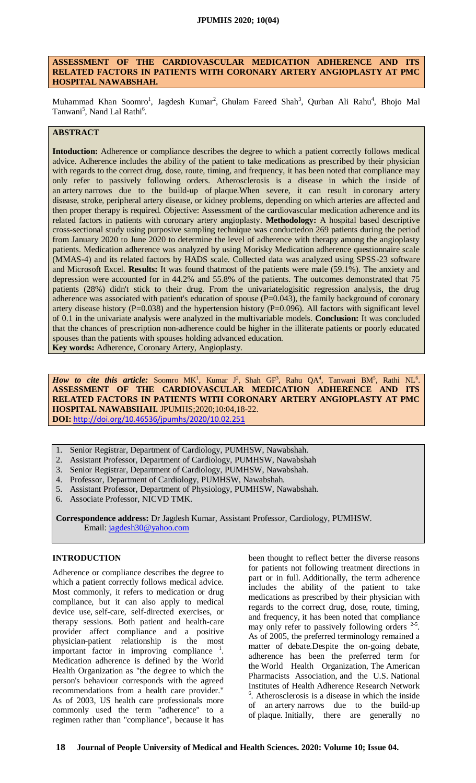#### **ASSESSMENT OF THE CARDIOVASCULAR MEDICATION ADHERENCE AND ITS RELATED FACTORS IN PATIENTS WITH CORONARY ARTERY ANGIOPLASTY AT PMC HOSPITAL NAWABSHAH.**

Muhammad Khan Soomro<sup>1</sup>, Jagdesh Kumar<sup>2</sup>, Ghulam Fareed Shah<sup>3</sup>, Qurban Ali Rahu<sup>4</sup>, Bhojo Mal Tanwani<sup>5</sup>, Nand Lal Rathi<sup>6</sup>.

## **ABSTRACT**

**Intoduction:** Adherence or compliance describes the degree to which a patient correctly follows medical advice. Adherence includes the ability of the patient to take medications as prescribed by their physician with regards to the correct drug, dose, route, timing, and frequency, it has been noted that compliance may only refer to passively following orders. Atherosclerosis is a disease in which the inside of an [artery](https://en.wikipedia.org/wiki/Artery) narrows due to the build-up of [plaque.](https://en.wikipedia.org/wiki/Atheroma)When severe, it can result in [coronary artery](https://en.wikipedia.org/wiki/Coronary_artery_disease)  [disease,](https://en.wikipedia.org/wiki/Coronary_artery_disease) [stroke,](https://en.wikipedia.org/wiki/Stroke) [peripheral artery disease,](https://en.wikipedia.org/wiki/Peripheral_artery_disease) or [kidney problems,](https://en.wikipedia.org/wiki/Kidney_problems) depending on which arteries are affected and then proper therapy is required. Objective: Assessment of the cardiovascular medication adherence and its related factors in patients with coronary artery angioplasty. **Methodology:** A hospital based descriptive cross-sectional study using purposive sampling technique was conductedon 269 patients during the period from January 2020 to June 2020 to determine the level of adherence with therapy among the angioplasty patients. Medication adherence was analyzed by using Morisky Medication adherence questionnaire scale (MMAS-4) and its related factors by HADS scale. Collected data was analyzed using SPSS-23 software and Microsoft Excel. **Results:** It was found thatmost of the patients were male (59.1%). The anxiety and depression were accounted for in 44.2% and 55.8% of the patients. The outcomes demonstrated that 75 patients (28%) didn't stick to their drug. From the univariatelogisitic regression analysis, the drug adherence was associated with patient's education of spouse  $(P=0.043)$ , the family background of coronary artery disease history (P=0.038) and the hypertension history (P=0.096). All factors with significant level of 0.1 in the univariate analysis were analyzed in the multivariable models. **Conclusion:** It was concluded that the chances of prescription non-adherence could be higher in the illiterate patients or poorly educated spouses than the patients with spouses holding advanced education.

**Key words:** Adherence, Coronary Artery, Angioplasty.

*How to cite this article:* Soomro MK<sup>1</sup>, Kumar J<sup>2</sup>, Shah GF<sup>3</sup>, Rahu QA<sup>4</sup>, Tanwani BM<sup>5</sup>, Rathi NL<sup>6</sup>. **ASSESSMENT OF THE CARDIOVASCULAR MEDICATION ADHERENCE AND ITS RELATED FACTORS IN PATIENTS WITH CORONARY ARTERY ANGIOPLASTY AT PMC HOSPITAL NAWABSHAH.** JPUMHS;2020;10:04,18-22. **DOI:** <http://doi.org/10.46536/jpumhs/2020/10.02.251>

- 1. Senior Registrar, Department of Cardiology, PUMHSW, Nawabshah.
- 2. Assistant Professor, Department of Cardiology, PUMHSW, Nawabshah
- 3. Senior Registrar, Department of Cardiology, PUMHSW, Nawabshah.
- 4. Professor, Department of Cardiology, PUMHSW, Nawabshah.
- 5. Assistant Professor, Department of Physiology, PUMHSW, Nawabshah.
- 6. Associate Professor, NICVD TMK.

**Correspondence address:** Dr Jagdesh Kumar, Assistant Professor, Cardiology, PUMHSW. Email: [jagdesh30@yahoo.com](mailto:jagdesh30@yahoo.com)

## **INTRODUCTION**

Adherence or compliance describes the degree to which a patient correctly follows medical advice. Most commonly, it refers to medication or drug compliance, but it can also apply to medical device use, [self-care,](https://en.wikipedia.org/wiki/Self_care) self-directed exercises, or therapy sessions. Both patient and health-care provider affect compliance and a positive physician-patient relationship is the most important factor in improving compliance  $1$ . Medication adherence is defined by the World Health Organization as "the degree to which the person's behaviour corresponds with the agreed recommendations from a health care provider." As of 2003, US health care professionals more commonly used the term "adherence" to a regimen rather than "compliance", because it has

been thought to reflect better the diverse reasons for patients not following treatment directions in part or in full. Additionally, the term adherence includes the ability of the patient to take medications as prescribed by their physician with regards to the correct drug, dose, route, timing, and frequency, it has been noted that compliance may only refer to passively following orders  $2-5$ . As of 2005, the preferred terminology remained a matter of debate.Despite the on-going debate, adherence has been the preferred term for the [World Health Organization,](https://en.wikipedia.org/wiki/World_Health_Organization) The [American](https://en.wikipedia.org/wiki/American_Pharmacists_Association)  [Pharmacists Association,](https://en.wikipedia.org/wiki/American_Pharmacists_Association) and the U.S. [National](https://en.wikipedia.org/wiki/National_Institutes_of_Health)  [Institutes of Health](https://en.wikipedia.org/wiki/National_Institutes_of_Health) Adherence Research Network 6 . Atherosclerosis is a disease in which the inside of an [artery](https://en.wikipedia.org/wiki/Artery) narrows due to the build-up of [plaque.](https://en.wikipedia.org/wiki/Atheroma) Initially, there are generally no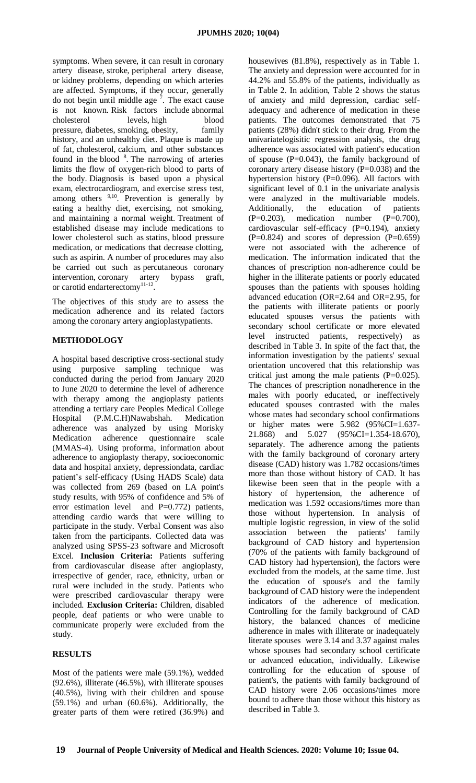symptoms. When severe, it can result in [coronary](https://en.wikipedia.org/wiki/Coronary_artery_disease)  [artery disease,](https://en.wikipedia.org/wiki/Coronary_artery_disease) [stroke,](https://en.wikipedia.org/wiki/Stroke) [peripheral artery disease,](https://en.wikipedia.org/wiki/Peripheral_artery_disease) or [kidney problems,](https://en.wikipedia.org/wiki/Kidney_problems) depending on which arteries are affected. Symptoms, if they occur, generally do not begin until middle age  $\overline{7}$ . The exact cause is not known. Risk factors include [abnormal](https://en.wikipedia.org/wiki/Dyslipidemia)  [cholesterol levels,](https://en.wikipedia.org/wiki/Dyslipidemia) [high blood](https://en.wikipedia.org/wiki/High_blood_pressure)  [pressure,](https://en.wikipedia.org/wiki/High_blood_pressure) [diabetes,](https://en.wikipedia.org/wiki/Diabetes) [smoking,](https://en.wikipedia.org/wiki/Smoking) [obesity,](https://en.wikipedia.org/wiki/Obesity) family history, and an unhealthy diet. Plaque is made up of fat, [cholesterol,](https://en.wikipedia.org/wiki/Cholesterol) [calcium,](https://en.wikipedia.org/wiki/Calcium) and other substances found in the [blood](https://en.wikipedia.org/wiki/Blood)  $8$ . The narrowing of arteries limits the flow of oxygen-rich blood to parts of the body. Diagnosis is based upon a physical exam, [electrocardiogram,](https://en.wikipedia.org/wiki/Electrocardiogram) and [exercise stress test,](https://en.wikipedia.org/wiki/Exercise_stress_test) among others  $9,10$ . Prevention is generally by eating a healthy diet, exercising, not smoking, and maintaining a normal weight. Treatment of established disease may include medications to lower cholesterol such as [statins,](https://en.wikipedia.org/wiki/Statin) [blood pressure](https://en.wikipedia.org/wiki/Blood_pressure_medication)  [medication,](https://en.wikipedia.org/wiki/Blood_pressure_medication) or medications that decrease clotting, such as [aspirin.](https://en.wikipedia.org/wiki/Aspirin) A number of procedures may also be carried out such as [percutaneous coronary](https://en.wikipedia.org/wiki/Percutaneous_coronary_intervention)  [intervention,](https://en.wikipedia.org/wiki/Percutaneous_coronary_intervention) [coronary artery bypass graft,](https://en.wikipedia.org/wiki/Coronary_artery_bypass_graft) or carotid endarterectomy<sup>11-12</sup>.

The objectives of this study are to assess the medication adherence and its related factors among the coronary artery angioplastypatients.

# **METHODOLOGY**

A hospital based descriptive cross-sectional study using purposive sampling technique was conducted during the period from January 2020 to June 2020 to determine the level of adherence with therapy among the angioplasty patients attending a tertiary care Peoples Medical College Hospital (P.M.C.H)Nawabshah. Medication adherence was analyzed by using Morisky Medication adherence questionnaire scale (MMAS-4). Using proforma, information about adherence to angioplasty therapy, socioeconomic data and hospital anxiety, depressiondata, cardiac patient's self-efficacy (Using HADS Scale) data was collected from 269 (based on LA point's study results, with 95% of confidence and 5% of error estimation level and P=0.772) patients, attending cardio wards that were willing to participate in the study. Verbal Consent was also taken from the participants. Collected data was analyzed using SPSS-23 software and Microsoft Excel. **Inclusion Criteria:** Patients suffering from cardiovascular disease after angioplasty, irrespective of gender, race, ethnicity, urban or rural were included in the study. Patients who were prescribed cardiovascular therapy were included. **Exclusion Criteria:** Children, disabled people, deaf patients or who were unable to communicate properly were excluded from the study.

# **RESULTS**

Most of the patients were male (59.1%), wedded (92.6%), illiterate (46.5%), with illiterate spouses (40.5%), living with their children and spouse (59.1%) and urban (60.6%). Additionally, the greater parts of them were retired (36.9%) and housewives (81.8%), respectively as in Table 1. The anxiety and depression were accounted for in 44.2% and 55.8% of the patients, individually as in Table 2. In addition, Table 2 shows the status of anxiety and mild depression, cardiac selfadequacy and adherence of medication in these patients. The outcomes demonstrated that 75 patients (28%) didn't stick to their drug. From the univariatelogisitic regression analysis, the drug adherence was associated with patient's education of spouse  $(P=0.043)$ , the family background of coronary artery disease history (P=0.038) and the hypertension history (P=0.096). All factors with significant level of 0.1 in the univariate analysis were analyzed in the multivariable models. Additionally, the education of patients  $(P=0.203)$ , medication number  $(P=0.700)$ , cardiovascular self-efficacy (P=0.194), anxiety  $(P=0.824)$  and scores of depression  $(P=0.659)$ were not associated with the adherence of medication. The information indicated that the chances of prescription non-adherence could be higher in the illiterate patients or poorly educated spouses than the patients with spouses holding advanced education (OR=2.64 and OR=2.95, for the patients with illiterate patients or poorly educated spouses versus the patients with secondary school certificate or more elevated level instructed patients, respectively) as described in Table 3. In spite of the fact that, the information investigation by the patients' sexual orientation uncovered that this relationship was critical just among the male patients  $(P=0.025)$ . The chances of prescription nonadherence in the males with poorly educated, or ineffectively educated spouses contrasted with the males whose mates had secondary school confirmations or higher mates were 5.982 (95%CI=1.637- 21.868) and 5.027 (95%CI=1.354-18.670), separately. The adherence among the patients with the family background of coronary artery disease (CAD) history was 1.782 occasions/times more than those without history of CAD. It has likewise been seen that in the people with a history of hypertension, the adherence of medication was 1.592 occasions/times more than those without hypertension. In analysis of multiple logistic regression, in view of the solid association between the patients' family background of CAD history and hypertension (70% of the patients with family background of CAD history had hypertension), the factors were excluded from the models, at the same time. Just the education of spouse's and the family background of CAD history were the independent indicators of the adherence of medication. Controlling for the family background of CAD history, the balanced chances of medicine adherence in males with illiterate or inadequately literate spouses were 3.14 and 3.37 against males whose spouses had secondary school certificate or advanced education, individually. Likewise controlling for the education of spouse of patient's, the patients with family background of CAD history were 2.06 occasions/times more bound to adhere than those without this history as described in Table 3.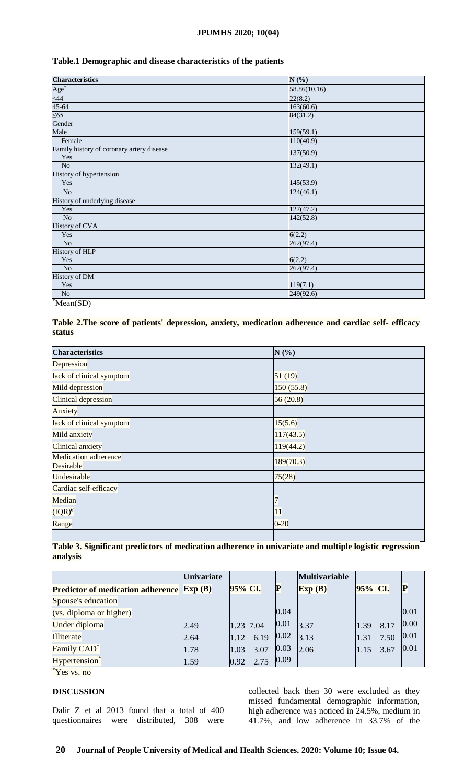### **JPUMHS 2020; 10(04)**

## **Table.1 Demographic and disease characteristics of the patients**

| <b>Characteristics</b>                           | N(%)         |
|--------------------------------------------------|--------------|
| $\frac{\text{Age}^*}{\leq 44}$<br>45-64          | 58.86(10.16) |
|                                                  | 22(8.2)      |
|                                                  | 163(60.6)    |
| $\leq 65$                                        | 84(31.2)     |
| Gender                                           |              |
| Male                                             | 159(59.1)    |
| Female                                           | 110(40.9)    |
| Family history of coronary artery disease<br>Yes | 137(50.9)    |
| N <sub>o</sub>                                   | 132(49.1)    |
| History of hypertension                          |              |
| Yes                                              | 145(53.9)    |
| $\rm No$                                         | 124(46.1)    |
| History of underlying disease                    |              |
| Yes                                              | 127(47.2)    |
| $\overline{No}$                                  | 142(52.8)    |
| <b>History of CVA</b>                            |              |
| Yes                                              | 6(2.2)       |
| $\overline{No}$                                  | 262(97.4)    |
| <b>History of HLP</b>                            |              |
| Yes                                              | 6(2.2)       |
| $\overline{No}$                                  | 262(97.4)    |
| <b>History of DM</b>                             |              |
| Yes                                              | 119(7.1)     |
| $\rm No$                                         | 249(92.6)    |
| $\sqrt[3]{\text{Mean(SD)}}$                      |              |

# **Table 2.The score of patients' depression, anxiety, medication adherence and cardiac self- efficacy status**

| <b>Characteristics</b>                   | N(%)       |  |  |  |
|------------------------------------------|------------|--|--|--|
| Depression                               |            |  |  |  |
| lack of clinical symptom                 | 51(19)     |  |  |  |
| Mild depression                          | 150 (55.8) |  |  |  |
| Clinical depression                      | 56(20.8)   |  |  |  |
| Anxiety                                  |            |  |  |  |
| lack of clinical symptom                 | 15(5.6)    |  |  |  |
| Mild anxiety                             | 117(43.5)  |  |  |  |
| Clinical anxiety                         | 119(44.2)  |  |  |  |
| <b>Medication</b> adherence<br>Desirable | 189(70.3)  |  |  |  |
| Undesirable                              | 75(28)     |  |  |  |
| Cardiac self-efficacy                    |            |  |  |  |
| Median                                   |            |  |  |  |
| $(IQR)^{\epsilon}$                       | 11         |  |  |  |
| Range                                    | $0 - 20$   |  |  |  |

# **Table 3. Significant predictors of medication adherence in univariate and multiple logistic regression analysis**

|                                                  | <b>Univariate</b> |              |      | <b>Multivariable</b> |         |      |      |
|--------------------------------------------------|-------------------|--------------|------|----------------------|---------|------|------|
| <b>Predictor of medication adherence Exp (B)</b> |                   | 95% CI.      |      | $\mathbf{Exp}(B)$    | 95% CI. |      |      |
| Spouse's education                               |                   |              |      |                      |         |      |      |
| (vs. diploma or higher)                          |                   |              | 0.04 |                      |         |      | 0.01 |
| Under diploma                                    | 2.49              | 1.23 7.04    | 0.01 | 3.37                 | 1.39    | 8.17 | 0.00 |
| Illiterate                                       | 2.64              | 6.19<br>1.12 | 0.02 | 3.13                 | 1.31    | 7.50 | 0.01 |
| Family CAD <sup>*</sup>                          | 1.78              | 3.07<br>1.03 | 0.03 | 2.06                 | 1.15    | 3.67 | 0.01 |
| Hypertension*                                    | 1.59              | 2.75<br>0.92 | 0.09 |                      |         |      |      |

\*Yes vs. no

## **DISCUSSION**

Dalir Z et al 2013 found that a total of 400 questionnaires were distributed, 308 were

collected back then 30 were excluded as they missed fundamental demographic information, high adherence was noticed in 24.5%, medium in 41.7%, and low adherence in 33.7% of the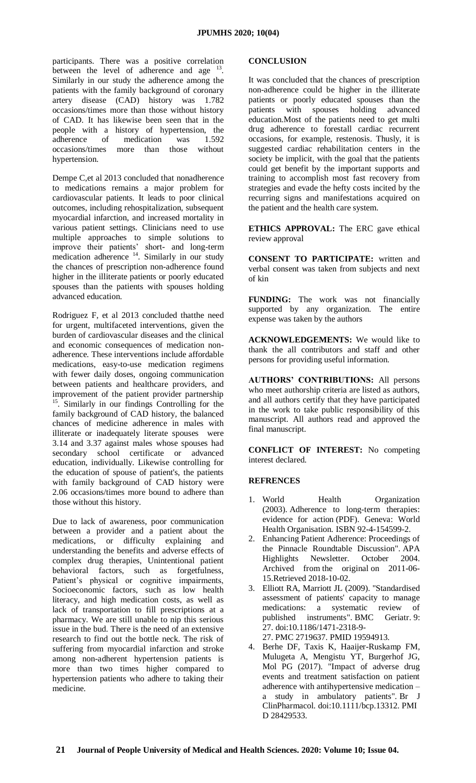participants. There was a positive correlation between the level of adherence and age  $13$ . Similarly in our study the adherence among the patients with the family background of coronary artery disease (CAD) history was 1.782 occasions/times more than those without history of CAD. It has likewise been seen that in the people with a history of hypertension, the adherence of medication was 1.592 occasions/times more than those without hypertension.

Dempe C,et al 2013 concluded that nonadherence to medications remains a major problem for cardiovascular patients. It leads to poor clinical outcomes, including rehospitalization, subsequent myocardial infarction, and increased mortality in various patient settings. Clinicians need to use multiple approaches to simple solutions to improve their patients' short- and long-term medication adherence  $14$ . Similarly in our study the chances of prescription non-adherence found higher in the illiterate patients or poorly educated spouses than the patients with spouses holding advanced education.

Rodriguez F, et al 2013 concluded thatthe need for urgent, multifaceted interventions, given the burden of cardiovascular diseases and the clinical and economic consequences of medication nonadherence. These interventions include affordable medications, easy-to-use medication regimens with fewer daily doses, ongoing communication between patients and healthcare providers, and improvement of the patient provider partnership <sup>15</sup>. Similarly in our findings Controlling for the family background of CAD history, the balanced chances of medicine adherence in males with illiterate or inadequately literate spouses were 3.14 and 3.37 against males whose spouses had secondary school certificate or advanced education, individually. Likewise controlling for the education of spouse of patient's, the patients with family background of CAD history were 2.06 occasions/times more bound to adhere than those without this history.

Due to lack of awareness, poor communication between a provider and a patient about the medications, or difficulty explaining and understanding the benefits and adverse effects of complex drug therapies, Unintentional patient behavioral factors, such as forgetfulness, Patient's physical or cognitive impairments, Socioeconomic factors, such as low health literacy, and high medication costs, as well as lack of transportation to fill prescriptions at a pharmacy. We are still unable to nip this serious issue in the bud. There is the need of an extensive research to find out the bottle neck. The risk of suffering from myocardial infarction and stroke among non-adherent hypertension patients is more than two times higher compared to hypertension patients who adhere to taking their medicine.

### **CONCLUSION**

It was concluded that the chances of prescription non-adherence could be higher in the illiterate patients or poorly educated spouses than the patients with spouses holding advanced education.Most of the patients need to get multi drug adherence to forestall cardiac recurrent occasions, for example, restenosis. Thusly, it is suggested cardiac rehabilitation centers in the society be implicit, with the goal that the patients could get benefit by the important supports and training to accomplish most fast recovery from strategies and evade the hefty costs incited by the recurring signs and manifestations acquired on the patient and the health care system.

**ETHICS APPROVAL:** The ERC gave ethical review approval

**CONSENT TO PARTICIPATE:** written and verbal consent was taken from subjects and next of kin

**FUNDING:** The work was not financially supported by any organization. The entire expense was taken by the authors

**ACKNOWLEDGEMENTS:** We would like to thank the all contributors and staff and other persons for providing useful information.

**AUTHORS' CONTRIBUTIONS:** All persons who meet authorship criteria are listed as authors, and all authors certify that they have participated in the work to take public responsibility of this manuscript. All authors read and approved the final manuscript.

**CONFLICT OF INTEREST:** No competing interest declared.

## **REFRENCES**

- 1. World Health Organization (2003). [Adherence to long-term therapies:](http://www.who.int/chp/knowledge/publications/adherence_full_report.pdf)  [evidence for action](http://www.who.int/chp/knowledge/publications/adherence_full_report.pdf) (PDF). Geneva: World Health Organisation. [ISBN](https://en.wikipedia.org/wiki/International_Standard_Book_Number) [92-4-154599-2.](https://en.wikipedia.org/wiki/Special:BookSources/92-4-154599-2)
- 2. [Enhancing Patient Adherence: Proceedings of](https://web.archive.org/web/20110615092834/http:/www.pharmacist.com/AM/Template.cfm?Section=Home2&TEMPLATE=%2FCM%2FContentDisplay.cfm&CONTENTID=11174)  [the Pinnacle Roundtable Discussion".](https://web.archive.org/web/20110615092834/http:/www.pharmacist.com/AM/Template.cfm?Section=Home2&TEMPLATE=%2FCM%2FContentDisplay.cfm&CONTENTID=11174) APA Highlights Newsletter. October 2004. Archived from [the original](http://www.pharmacist.com/AM/Template.cfm?Section=Home2&TEMPLATE=/CM/ContentDisplay.cfm&CONTENTID=11174) on 2011-06- 15.Retrieved 2018-10-02.
- 3. Elliott RA, Marriott JL (2009). ["Standardised](https://www.ncbi.nlm.nih.gov/pmc/articles/PMC2719637)  [assessment of patients' capacity to manage](https://www.ncbi.nlm.nih.gov/pmc/articles/PMC2719637)  [medications: a systematic review of](https://www.ncbi.nlm.nih.gov/pmc/articles/PMC2719637)  [published instruments".](https://www.ncbi.nlm.nih.gov/pmc/articles/PMC2719637) BMC Geriatr. 9: 27. [doi](https://en.wikipedia.org/wiki/Digital_object_identifier)[:10.1186/1471-2318-9-](https://doi.org/10.1186%2F1471-2318-9-27)
	- [27.](https://doi.org/10.1186%2F1471-2318-9-27) [PMC](https://en.wikipedia.org/wiki/PubMed_Central) [2719637.](https://www.ncbi.nlm.nih.gov/pmc/articles/PMC2719637) [PMID](https://en.wikipedia.org/wiki/PubMed_Identifier) [19594913.](https://www.ncbi.nlm.nih.gov/pubmed/19594913)
- 4. Berhe DF, Taxis K, Haaijer-Ruskamp FM, Mulugeta A, Mengistu YT, Burgerhof JG, Mol PG (2017). "Impact of adverse drug events and treatment satisfaction on patient adherence with antihypertensive medication – a study in ambulatory patients". Br J ClinPharmacol. [doi](https://en.wikipedia.org/wiki/Digital_object_identifier)[:10.1111/bcp.13312.](https://doi.org/10.1111%2Fbcp.13312) [PMI](https://en.wikipedia.org/wiki/PubMed_Identifier) [D](https://en.wikipedia.org/wiki/PubMed_Identifier) [28429533.](https://www.ncbi.nlm.nih.gov/pubmed/28429533)